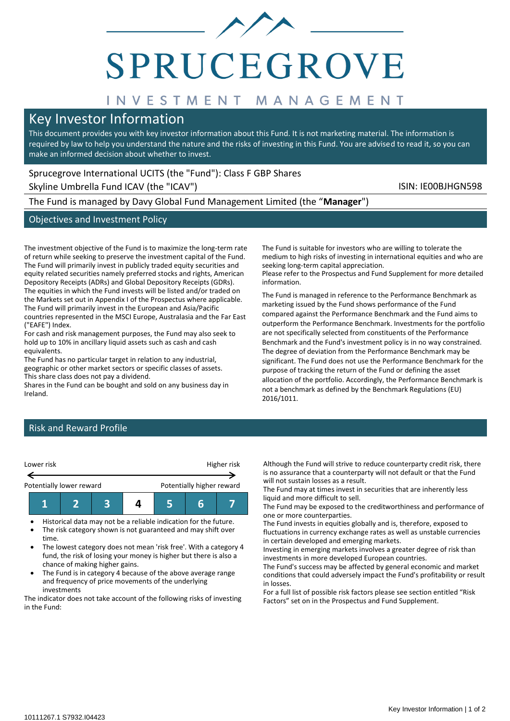

# **SPRUCEGROVE**

# INVESTMENT MANAGEMENT

# Key Investor Information

This document provides you with key investor information about this Fund. It is not marketing material. The information is required by law to help you understand the nature and the risks of investing in this Fund. You are advised to read it, so you can make an informed decision about whether to invest.

information.

# Sprucegrove International UCITS (the "Fund"): Class F GBP Shares

Skyline Umbrella Fund ICAV (the "ICAV") Skyline Umbrella Fund ICAV (the "ICAV")

The Fund is managed by Davy Global Fund Management Limited (the "**Manager**")

## Objectives and Investment Policy

The investment objective of the Fund is to maximize the long-term rate of return while seeking to preserve the investment capital of the Fund. The Fund will primarily invest in publicly traded equity securities and equity related securities namely preferred stocks and rights, American Depository Receipts (ADRs) and Global Depository Receipts (GDRs). The equities in which the Fund invests will be listed and/or traded on the Markets set out in Appendix I of the Prospectus where applicable. The Fund will primarily invest in the European and Asia/Pacific countries represented in the MSCI Europe, Australasia and the Far East ("EAFE") Index.

For cash and risk management purposes, the Fund may also seek to hold up to 10% in ancillary liquid assets such as cash and cash equivalents.

The Fund has no particular target in relation to any industrial, geographic or other market sectors or specific classes of assets. This share class does not pay a dividend.

Shares in the Fund can be bought and sold on any business day in Ireland.

The Fund is suitable for investors who are willing to tolerate the medium to high risks of investing in international equities and who are seeking long-term capital appreciation. Please refer to the Prospectus and Fund Supplement for more detailed

The Fund is managed in reference to the Performance Benchmark as marketing issued by the Fund shows performance of the Fund compared against the Performance Benchmark and the Fund aims to outperform the Performance Benchmark. Investments for the portfolio are not specifically selected from constituents of the Performance Benchmark and the Fund's investment policy is in no way constrained. The degree of deviation from the Performance Benchmark may be significant. The Fund does not use the Performance Benchmark for the purpose of tracking the return of the Fund or defining the asset allocation of the portfolio. Accordingly, the Performance Benchmark is not a benchmark as defined by the Benchmark Regulations (EU) 2016/1011.

# Risk and Reward Profile



- Historical data may not be a reliable indication for the future.
- The risk category shown is not guaranteed and may shift over time.
- The lowest category does not mean 'risk free'. With a category 4 fund, the risk of losing your money is higher but there is also a chance of making higher gains.
- The Fund is in category 4 because of the above average range and frequency of price movements of the underlying investments

The indicator does not take account of the following risks of investing in the Fund:

Although the Fund will strive to reduce counterparty credit risk, there is no assurance that a counterparty will not default or that the Fund will not sustain losses as a result.

The Fund may at times invest in securities that are inherently less liquid and more difficult to sell.

The Fund may be exposed to the creditworthiness and performance of one or more counterparties.

The Fund invests in equities globally and is, therefore, exposed to fluctuations in currency exchange rates as well as unstable currencies in certain developed and emerging markets.

Investing in emerging markets involves a greater degree of risk than investments in more developed European countries.

The Fund's success may be affected by general economic and market conditions that could adversely impact the Fund's profitability or result in losses.

For a full list of possible risk factors please see section entitled "Risk Factors" set on in the Prospectus and Fund Supplement.